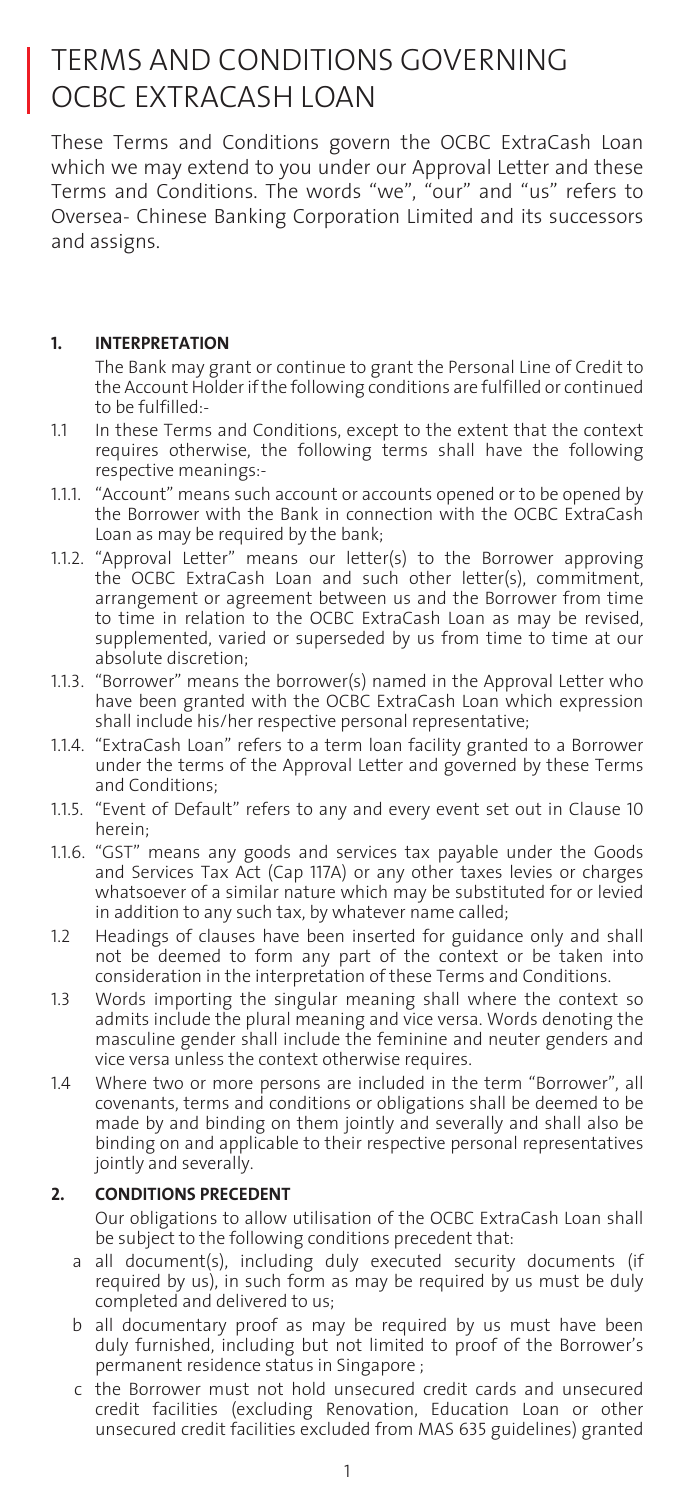# TERMS AND CONDITIONS GOVERNING OCBC EXTRACASH LOAN

These Terms and Conditions govern the OCBC ExtraCash Loan which we may extend to you under our Approval Letter and these Terms and Conditions. The words "we", "our" and "us" refers to Oversea- Chinese Banking Corporation Limited and its successors and assigns.

# **1. INTERPRETATION**

 The Bank may grant or continue to grant the Personal Line of Credit to the Account Holder if the following conditions are fulfilled or continued to be fulfilled:-

- 1.1 In these Terms and Conditions, except to the extent that the context requires otherwise, the following terms shall have the following respective meanings:-
- 1.1.1. "Account" means such account or accounts opened or to be opened by the Borrower with the Bank in connection with the OCBC ExtraCash Loan as may be required by the bank;
- 1.1.2. "Approval Letter" means our letter(s) to the Borrower approving the OCBC ExtraCash Loan and such other letter(s), commitment, arrangement or agreement between us and the Borrower from time to time in relation to the OCBC ExtraCash Loan as may be revised, supplemented, varied or superseded by us from time to time at our absolute discretion;
- 1.1.3. "Borrower" means the borrower(s) named in the Approval Letter who have been granted with the OCBC ExtraCash Loan which expression shall include his/her respective personal representative;
- 1.1.4. "ExtraCash Loan" refers to a term loan facility granted to a Borrower under the terms of the Approval Letter and governed by these Terms and Conditions;
- 1.1.5. "Event of Default" refers to any and every event set out in Clause 10 herein;
- 1.1.6. "GST" means any goods and services tax payable under the Goods and Services Tax Act (Cap 117A) or any other taxes levies or charges whatsoever of a similar nature which may be substituted for or levied in addition to any such tax, by whatever name called;
- 1.2 Headings of clauses have been inserted for guidance only and shall not be deemed to form any part of the context or be taken into consideration in the interpretation of these Terms and Conditions.
- 1.3 Words importing the singular meaning shall where the context so admits include the plural meaning and vice versa. Words denoting the masculine gender shall include the feminine and neuter genders and vice versa unless the context otherwise requires.
- 1.4 Where two or more persons are included in the term "Borrower", all covenants, terms and conditions or obligations shall be deemed to be made by and binding on them jointly and severally and shall also be binding on and applicable to their respective personal representatives jointly and severally.

# **2. CONDITIONS PRECEDENT**

Our obligations to allow utilisation of the OCBC ExtraCash Loan shall be subject to the following conditions precedent that:

- a all document(s), including duly executed security documents (if required by us), in such form as may be required by us must be duly completed and delivered to us;
- b all documentary proof as may be required by us must have been duly furnished, including but not limited to proof of the Borrower's permanent residence status in Singapore ;
- c the Borrower must not hold unsecured credit cards and unsecured credit facilities (excluding Renovation, Education Loan or other unsecured credit facilities excluded from MAS 635 guidelines) granted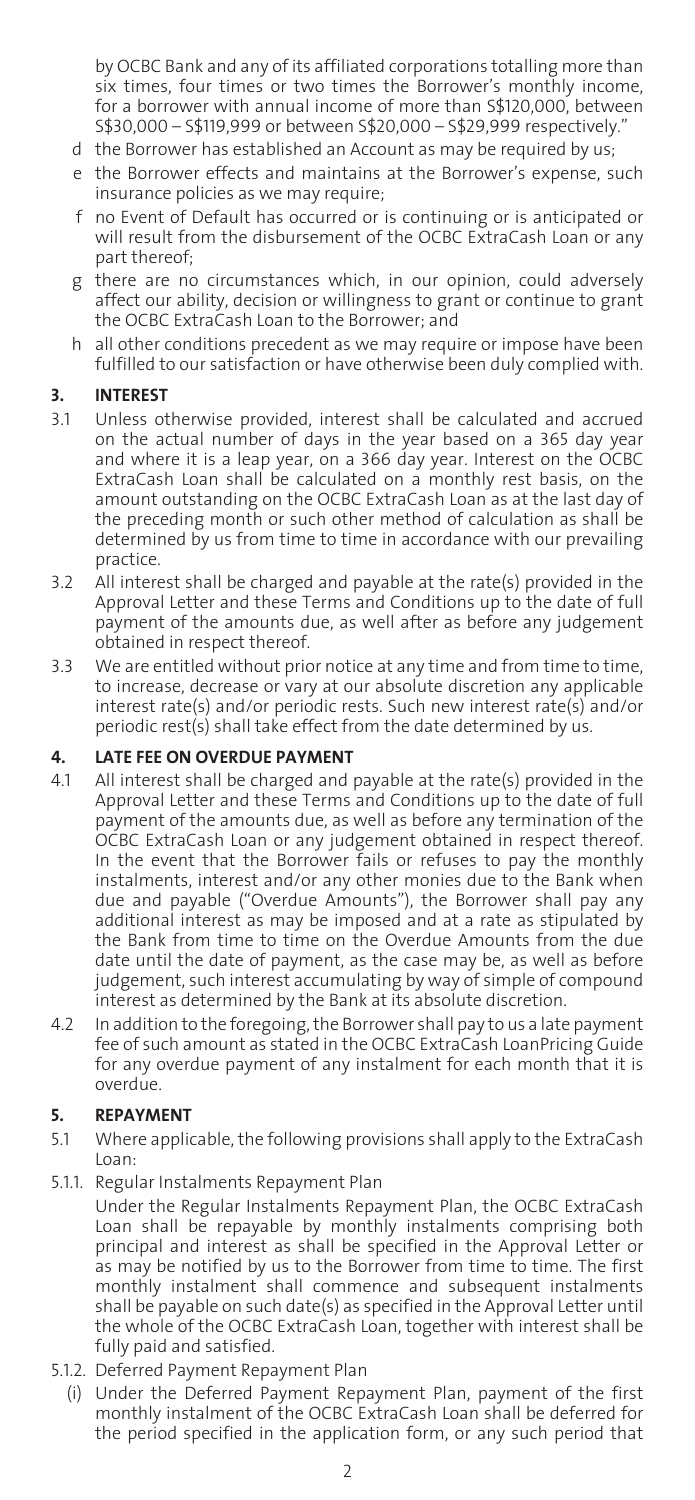by OCBC Bank and any of its affiliated corporations totalling more than six times, four times or two times the Borrower's monthly income, for a borrower with annual income of more than S\$120,000, between S\$30,000 – S\$119,999 or between S\$20,000 – S\$29,999 respectively."

- d the Borrower has established an Account as may be required by us;
- e the Borrower effects and maintains at the Borrower's expense, such insurance policies as we may require;
- f no Event of Default has occurred or is continuing or is anticipated or will result from the disbursement of the OCBC ExtraCash Loan or any part thereof;
- g there are no circumstances which, in our opinion, could adversely affect our ability, decision or willingness to grant or continue to grant the OCBC ExtraCash Loan to the Borrower; and
- h all other conditions precedent as we may require or impose have been fulfilled to our satisfaction or have otherwise been duly complied with.

# **3. INTEREST**

- 3.1 Unless otherwise provided, interest shall be calculated and accrued on the actual number of days in the year based on a 365 day year and where it is a leap year, on a 366 day year. Interest on the OCBC ExtraCash Loan shall be calculated on a monthly rest basis, on the amount outstanding on the OCBC ExtraCash Loan as at the last day of the preceding month or such other method of calculation as shall be determined by us from time to time in accordance with our prevailing practice.
- 3.2 All interest shall be charged and payable at the rate(s) provided in the Approval Letter and these Terms and Conditions up to the date of full payment of the amounts due, as well after as before any judgement obtained in respect thereof.
- 3.3 We are entitled without prior notice at any time and from time to time, to increase, decrease or vary at our absolute discretion any applicable interest rate(s) and/or periodic rests. Such new interest rate(s) and/or periodic rest(s) shall take effect from the date determined by us.

## **4. LATE FEE ON OVERDUE PAYMENT**

- 4.1 All interest shall be charged and payable at the rate(s) provided in the Approval Letter and these Terms and Conditions up to the date of full payment of the amounts due, as well as before any termination of the OCBC ExtraCash Loan or any judgement obtained in respect thereof. In the event that the Borrower fails or refuses to pay the monthly instalments, interest and/or any other monies due to the Bank when due and payable ("Overdue Amounts"), the Borrower shall pay any additional interest as may be imposed and at a rate as stipulated by the Bank from time to time on the Overdue Amounts from the due date until the date of payment, as the case may be, as well as before judgement, such interest accumulating by way of simple of compound interest as determined by the Bank at its absolute discretion.
- 4.2 In addition to the foregoing, the Borrower shall pay to us a late payment fee of such amount as stated in the OCBC ExtraCash LoanPricing Guide for any overdue payment of any instalment for each month that it is overdue.

# **5. REPAYMENT**

- 5.1 Where applicable, the following provisions shall apply to the ExtraCash Loan:
- 5.1.1. Regular Instalments Repayment Plan

 Under the Regular Instalments Repayment Plan, the OCBC ExtraCash Loan shall be repayable by monthly instalments comprising both principal and interest as shall be specified in the Approval Letter or as may be notified by us to the Borrower from time to time. The first monthly instalment shall commence and subsequent instalments shall be payable on such date(s) as specified in the Approval Letter until the whole of the OCBC ExtraCash Loan, together with interest shall be fully paid and satisfied.

- 5.1.2. Deferred Payment Repayment Plan
	- (i) Under the Deferred Payment Repayment Plan, payment of the first monthly instalment of the OCBC ExtraCash Loan shall be deferred for the period specified in the application form, or any such period that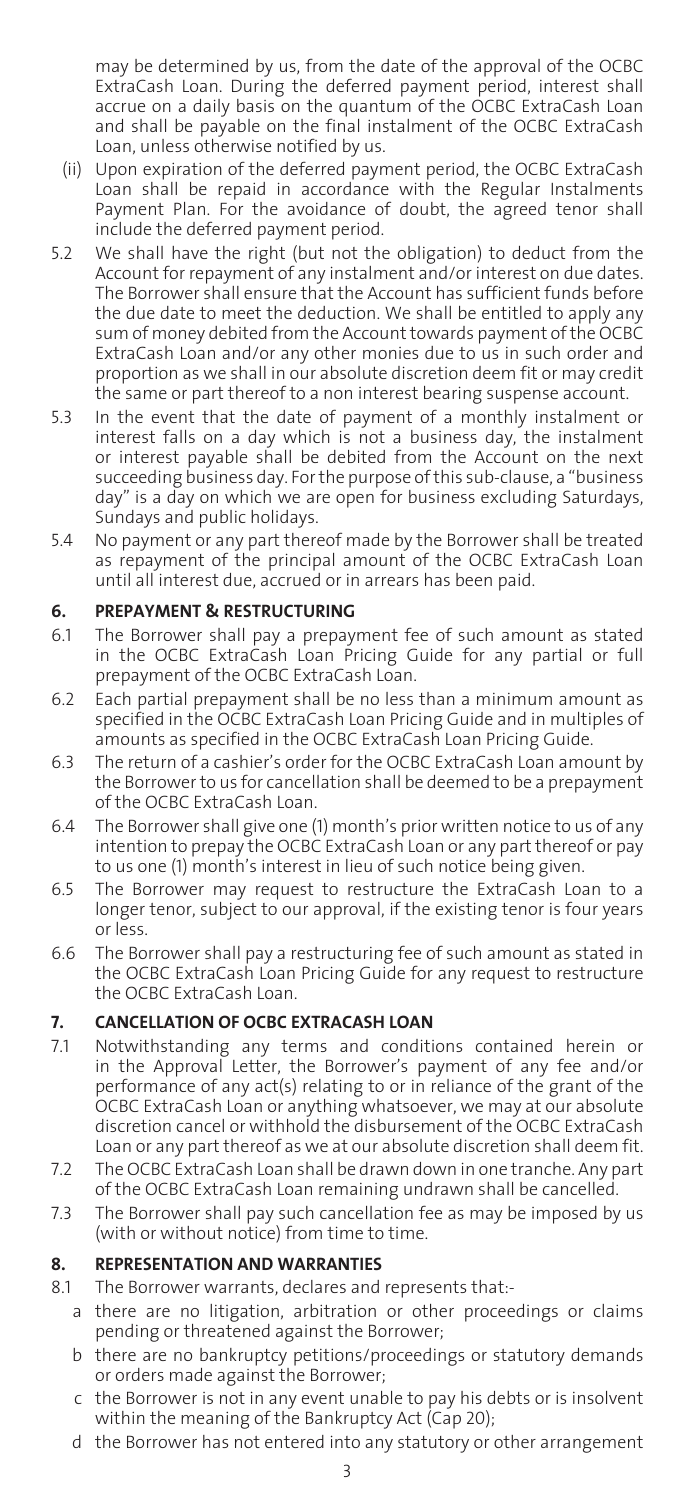may be determined by us, from the date of the approval of the OCBC ExtraCash Loan. During the deferred payment period, interest shall accrue on a daily basis on the quantum of the OCBC ExtraCash Loan and shall be pavable on the final instalment of the OCBC ExtraCash Loan, unless otherwise notified by us.

- (ii) Upon expiration of the deferred payment period, the OCBC ExtraCash Loan shall be repaid in accordance with the Regular Instalments Payment Plan. For the avoidance of doubt, the agreed tenor shall include the deferred payment period.
- 5.2 We shall have the right (but not the obligation) to deduct from the Account for repayment of any instalment and/or interest on due dates. The Borrower shall ensure that the Account has sufficient funds before the due date to meet the deduction. We shall be entitled to apply any sum of money debited from the Account towards payment of the OCBC ExtraCash Loan and/or any other monies due to us in such order and proportion as we shall in our absolute discretion deem fit or may credit the same or part thereof to a non interest bearing suspense account.
- 5.3 In the event that the date of payment of a monthly instalment or interest falls on a day which is not a business day, the instalment or interest payable shall be debited from the Account on the next succeeding business day. For the purpose of this sub-clause, a "business day" is a day on which we are open for business excluding Saturdays, Sundays and public holidays.
- 5.4 No payment or any part thereof made by the Borrower shall be treated as repayment of the principal amount of the OCBC ExtraCash Loan until all interest due, accrued or in arrears has been paid.

# **6. PREPAYMENT & RESTRUCTURING**

- 6.1 The Borrower shall pay a prepayment fee of such amount as stated in the OCBC ExtraCash Loan Pricing Guide for any partial or full prepayment of the OCBC ExtraCash Loan.
- 6.2 Each partial prepayment shall be no less than a minimum amount as specified in the OCBC ExtraCash Loan Pricing Guide and in multiples of amounts as specified in the OCBC ExtraCash Loan Pricing Guide.
- 6.3 The return of a cashier's order for the OCBC ExtraCash Loan amount by the Borrower to us for cancellation shall be deemed to be a prepayment of the OCBC ExtraCash Loan.
- 6.4 The Borrower shall give one (1) month's prior written notice to us of any intention to prepay the OCBC ExtraCash Loan or any part thereof or pay to us one (1) month's interest in lieu of such notice being given.
- 6.5 The Borrower may request to restructure the ExtraCash Loan to a longer tenor, subject to our approval, if the existing tenor is four years or less.
- 6.6 The Borrower shall pay a restructuring fee of such amount as stated in the OCBC ExtraCash Loan Pricing Guide for any request to restructure the OCBC ExtraCash Loan.

# **7. CANCELLATION OF OCBC EXTRACASH LOAN**

- 7.1 Notwithstanding any terms and conditions contained herein or in the Approval Letter, the Borrower's payment of any fee and/or performance of any act(s) relating to or in reliance of the grant of the OCBC ExtraCash Loan or anything whatsoever, we may at our absolute discretion cancel or withhold the disbursement of the OCBC ExtraCash Loan or any part thereof as we at our absolute discretion shall deem fit.
- 7.2 The OCBC ExtraCash Loan shall be drawn down in one tranche. Any part of the OCBC ExtraCash Loan remaining undrawn shall be cancelled.
- 7.3 The Borrower shall pay such cancellation fee as may be imposed by us (with or without notice) from time to time.

# **8. REPRESENTATION AND WARRANTIES**

- 8.1 The Borrower warrants, declares and represents that:
	- a there are no litigation, arbitration or other proceedings or claims pending or threatened against the Borrower;
	- b there are no bankruptcy petitions/proceedings or statutory demands or orders made against the Borrower;
	- c the Borrower is not in any event unable to pay his debts or is insolvent within the meaning of the Bankruptcy Act (Cap 20);
	- d the Borrower has not entered into any statutory or other arrangement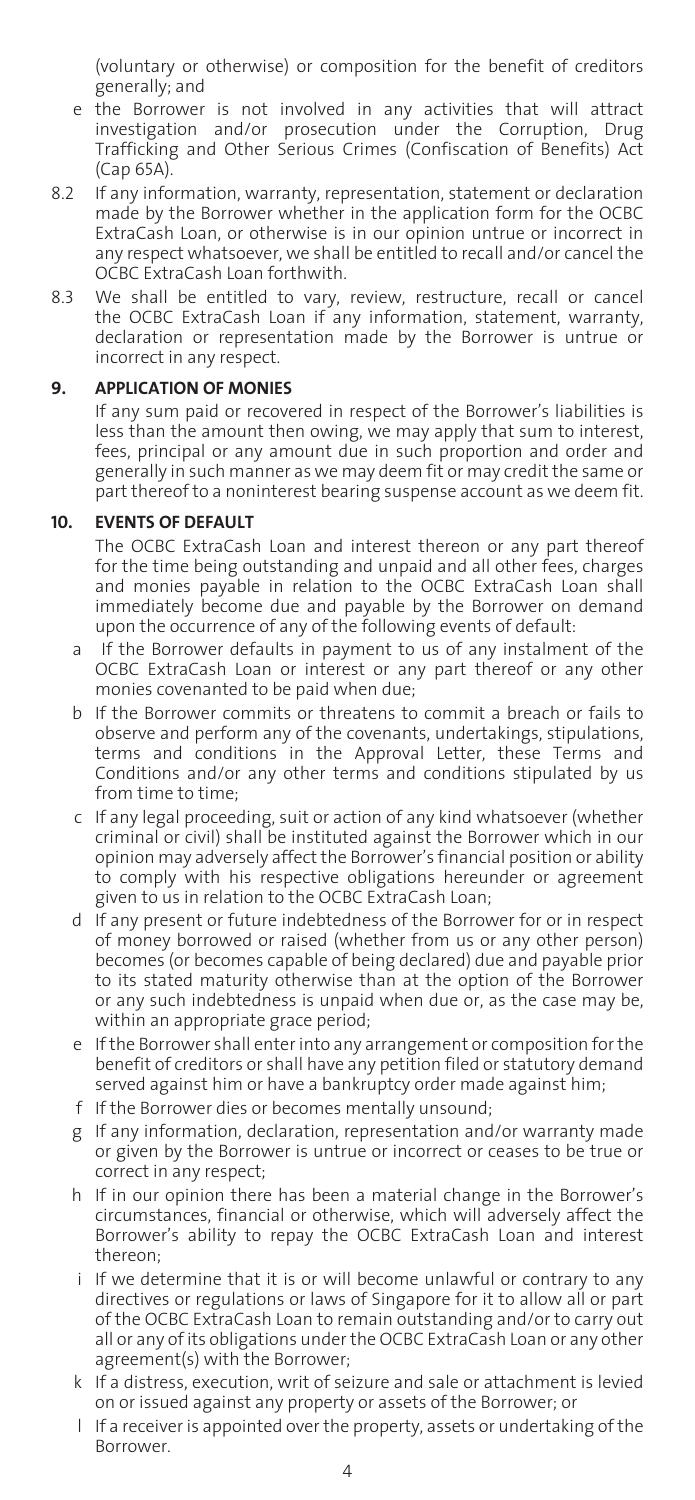(voluntary or otherwise) or composition for the benefit of creditors generally; and

- e the Borrower is not involved in any activities that will attract investigation and/or prosecution under the Corruption, Drug Trafficking and Other Serious Crimes (Confiscation of Benefits) Act (Cap 65A).
- 8.2 If any information, warranty, representation, statement or declaration made by the Borrower whether in the application form for the OCBC ExtraCash Loan, or otherwise is in our opinion untrue or incorrect in any respect whatsoever, we shall be entitled to recall and/or cancel the OCBC ExtraCash Loan forthwith.
- 8.3 We shall be entitled to vary, review, restructure, recall or cancel the OCBC ExtraCash Loan if any information, statement, warranty, declaration or representation made by the Borrower is untrue or incorrect in any respect.

#### **9. APPLICATION OF MONIES**

 If any sum paid or recovered in respect of the Borrower's liabilities is less than the amount then owing, we may apply that sum to interest, fees, principal or any amount due in such proportion and order and generally in such manner as we may deem fit or may credit the same or part thereof to a noninterest bearing suspense account as we deem fit.

#### **10. EVENTS OF DEFAULT**

 The OCBC ExtraCash Loan and interest thereon or any part thereof for the time being outstanding and unpaid and all other fees, charges and monies payable in relation to the OCBC ExtraCash Loan shall immediately become due and payable by the Borrower on demand upon the occurrence of any of the following events of default:

- a If the Borrower defaults in payment to us of any instalment of the OCBC ExtraCash Loan or interest or any part thereof or any other monies covenanted to be paid when due;
- b If the Borrower commits or threatens to commit a breach or fails to observe and perform any of the covenants, undertakings, stipulations, terms and conditions in the Approval Letter, these Terms and Conditions and/or any other terms and conditions stipulated by us from time to time;
- c If any legal proceeding, suit or action of any kind whatsoever (whether criminal or civil) shall be instituted against the Borrower which in our opinion may adversely affect the Borrower's financial position or ability to comply with his respective obligations hereunder or agreement given to us in relation to the OCBC ExtraCash Loan;
- d If any present or future indebtedness of the Borrower for or in respect of money borrowed or raised (whether from us or any other person) becomes (or becomes capable of being declared) due and payable prior to its stated maturity otherwise than at the option of the Borrower or any such indebtedness is unpaid when due or, as the case may be, within an appropriate grace period;
- e If the Borrower shall enter into any arrangement or composition for the benefit of creditors or shall have any petition filed or statutory demand served against him or have a bankruptcy order made against him;
- f If the Borrower dies or becomes mentally unsound;
- g If any information, declaration, representation and/or warranty made or given by the Borrower is untrue or incorrect or ceases to be true or correct in any respect;
- h If in our opinion there has been a material change in the Borrower's circumstances, financial or otherwise, which will adversely affect the Borrower's ability to repay the OCBC ExtraCash Loan and interest thereon;
- i If we determine that it is or will become unlawful or contrary to any directives or regulations or laws of Singapore for it to allow all or part of the OCBC ExtraCash Loan to remain outstanding and/or to carry out all or any of its obligations under the OCBC ExtraCash Loan or any other agreement(s) with the Borrower;
- k If a distress, execution, writ of seizure and sale or attachment is levied on or issued against any property or assets of the Borrower; or
- l If a receiver is appointed over the property, assets or undertaking of the Borrower.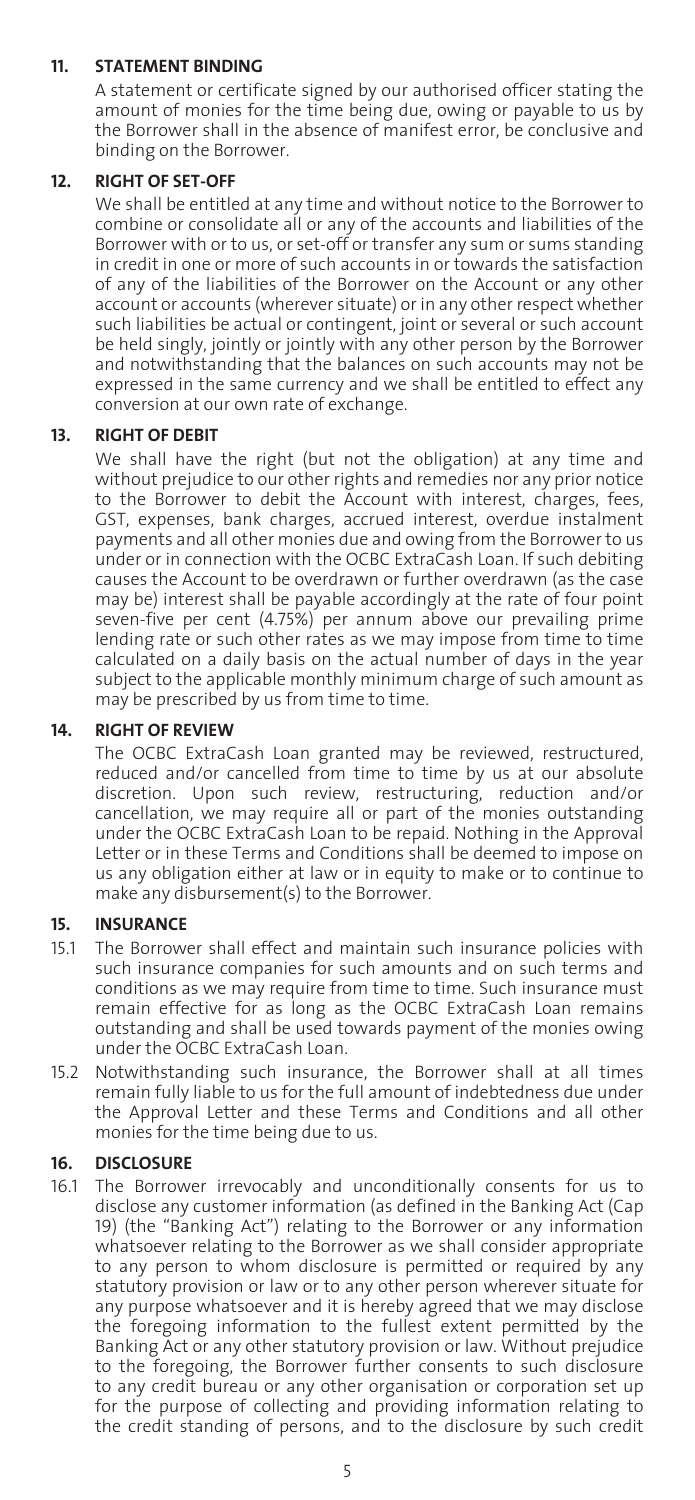# **11. STATEMENT BINDING**

 A statement or certificate signed by our authorised officer stating the amount of monies for the time being due, owing or payable to us by the Borrower shall in the absence of manifest error, be conclusive and binding on the Borrower.

# **12. RIGHT OF SET-OFF**

 We shall be entitled at any time and without notice to the Borrower to combine or consolidate all or any of the accounts and liabilities of the Borrower with or to us, or set-off or transfer any sum or sums standing in credit in one or more of such accounts in or towards the satisfaction of any of the liabilities of the Borrower on the Account or any other account or accounts (wherever situate) or in any other respect whether such liabilities be actual or contingent, joint or several or such account be held singly, jointly or jointly with any other person by the Borrower and notwithstanding that the balances on such accounts may not be expressed in the same currency and we shall be entitled to effect any conversion at our own rate of exchange.

# **13. RIGHT OF DEBIT**

 We shall have the right (but not the obligation) at any time and without prejudice to our other rights and remedies nor any prior notice to the Borrower to debit the Account with interest, charges, fees, GST, expenses, bank charges, accrued interest, overdue instalment payments and all other monies due and owing from the Borrower to us under or in connection with the OCBC ExtraCash Loan. If such debiting causes the Account to be overdrawn or further overdrawn (as the case may be) interest shall be payable accordingly at the rate of four point seven-five per cent (4.75%) per annum above our prevailing prime lending rate or such other rates as we may impose from time to time calculated on a daily basis on the actual number of days in the year subject to the applicable monthly minimum charge of such amount as may be prescribed by us from time to time.

# **14. RIGHT OF REVIEW**

 The OCBC ExtraCash Loan granted may be reviewed, restructured, reduced and/or cancelled from time to time by us at our absolute discretion. Upon such review, restructuring, reduction and/or cancellation, we may require all or part of the monies outstanding under the OCBC ExtraCash Loan to be repaid. Nothing in the Approval Letter or in these Terms and Conditions shall be deemed to impose on us any obligation either at law or in equity to make or to continue to make any disbursement(s) to the Borrower.

#### **15. INSURANCE**

- 15.1 The Borrower shall effect and maintain such insurance policies with such insurance companies for such amounts and on such terms and conditions as we may require from time to time. Such insurance must remain effective for as long as the OCBC ExtraCash Loan remains outstanding and shall be used towards payment of the monies owing under the OCBC ExtraCash Loan.
- 15.2 Notwithstanding such insurance, the Borrower shall at all times remain fully liable to us for the full amount of indebtedness due under the Approval Letter and these Terms and Conditions and all other monies for the time being due to us.

# **16. DISCLOSURE**

16.1 The Borrower irrevocably and unconditionally consents for us to disclose any customer information (as defined in the Banking Act (Cap 19) (the "Banking Act") relating to the Borrower or any information whatsoever relating to the Borrower as we shall consider appropriate to any person to whom disclosure is permitted or required by any statutory provision or law or to any other person wherever situate for any purpose whatsoever and it is hereby agreed that we may disclose the foregoing information to the fullest extent permitted by the Banking Act or any other statutory provision or law. Without prejudice to the foregoing, the Borrower further consents to such disclosure to any credit bureau or any other organisation or corporation set up for the purpose of collecting and providing information relating to the credit standing of persons, and to the disclosure by such credit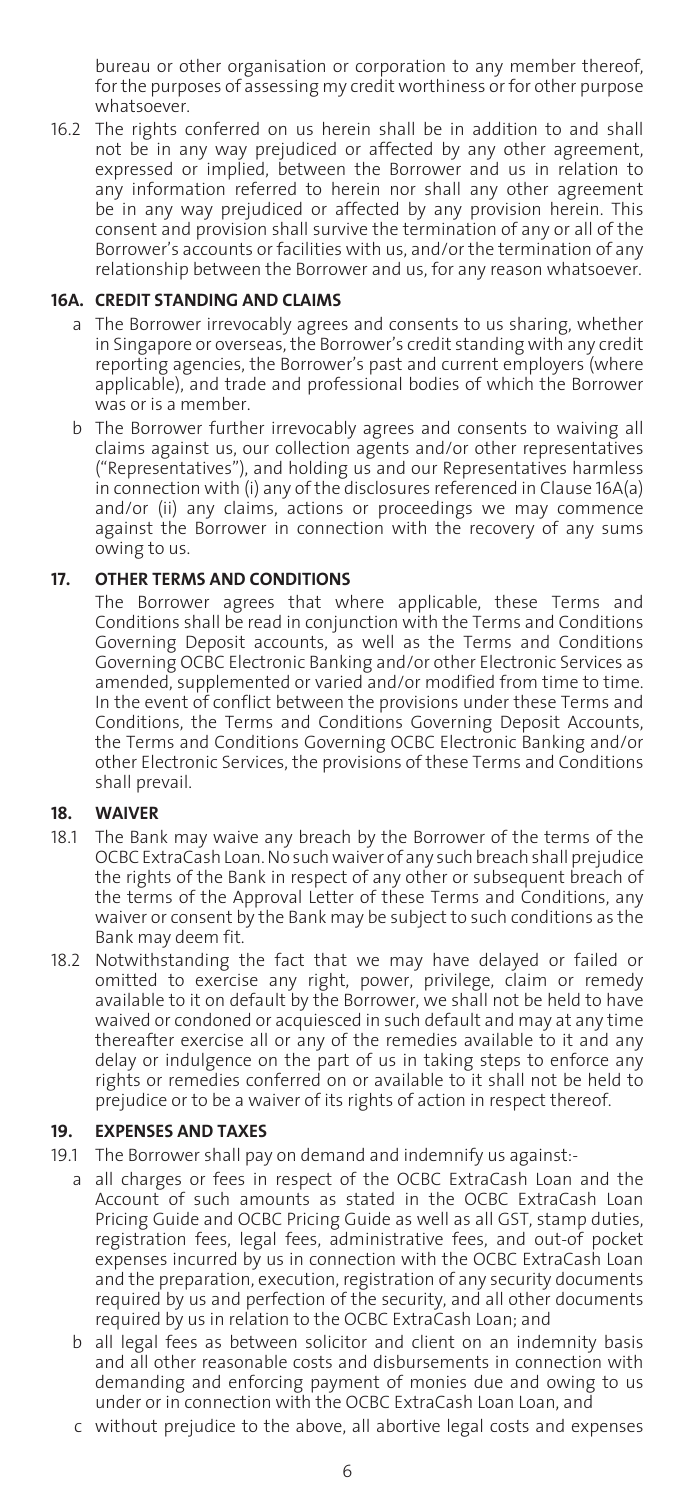bureau or other organisation or corporation to any member thereof, for the purposes of assessing my credit worthiness or for other purpose whatsoever.

16.2 The rights conferred on us herein shall be in addition to and shall not be in any way prejudiced or affected by any other agreement, expressed or implied, between the Borrower and us in relation to any information referred to herein nor shall any other agreement be in any way prejudiced or affected by any provision herein. This consent and provision shall survive the termination of any or all of the Borrower's accounts or facilities with us, and/or the termination of any relationship between the Borrower and us, for any reason whatsoever.

#### **16A. CREDIT STANDING AND CLAIMS**

- a The Borrower irrevocably agrees and consents to us sharing, whether in Singapore or overseas, the Borrower's credit standing with any credit reporting agencies, the Borrower's past and current employers (where applicable), and trade and professional bodies of which the Borrower was or is a member.
- b The Borrower further irrevocably agrees and consents to waiving all claims against us, our collection agents and/or other representatives ("Representatives"), and holding us and our Representatives harmless in connection with (i) any of the disclosures referenced in Clause 16A(a) and/or (ii) any claims, actions or proceedings we may commence against the Borrower in connection with the recovery of any sums owing to us.

# **17. OTHER TERMS AND CONDITIONS**

 The Borrower agrees that where applicable, these Terms and Conditions shall be read in conjunction with the Terms and Conditions Governing Deposit accounts, as well as the Terms and Conditions Governing OCBC Electronic Banking and/or other Electronic Services as amended, supplemented or varied and/or modified from time to time. In the event of conflict between the provisions under these Terms and Conditions, the Terms and Conditions Governing Deposit Accounts, the Terms and Conditions Governing OCBC Electronic Banking and/or other Electronic Services, the provisions of these Terms and Conditions shall prevail.

#### **18. WAIVER**

- 18.1 The Bank may waive any breach by the Borrower of the terms of the OCBC ExtraCash Loan. No such waiver of any such breach shall prejudice the rights of the Bank in respect of any other or subsequent breach of the terms of the Approval Letter of these Terms and Conditions, any waiver or consent by the Bank may be subject to such conditions as the Bank may deem fit.
- 18.2 Notwithstanding the fact that we may have delayed or failed or omitted to exercise any right, power, privilege, claim or remedy available to it on default by the Borrower, we shall not be held to have waived or condoned or acquiesced in such default and may at any time thereafter exercise all or any of the remedies available to it and any delay or indulgence on the part of us in taking steps to enforce any rights or remedies conferred on or available to it shall not be held to prejudice or to be a waiver of its rights of action in respect thereof.

#### **19. EXPENSES AND TAXES**

- 19.1 The Borrower shall pay on demand and indemnify us against:
	- a all charges or fees in respect of the OCBC ExtraCash Loan and the Account of such amounts as stated in the OCBC ExtraCash Loan Pricing Guide and OCBC Pricing Guide as well as all GST, stamp duties, registration fees, legal fees, administrative fees, and out-of pocket expenses incurred by us in connection with the OCBC ExtraCash Loan and the preparation, execution, registration of any security documents required by us and perfection of the security, and all other documents required by us in relation to the OCBC ExtraCash Loan; and
	- b all legal fees as between solicitor and client on an indemnity basis and all other reasonable costs and disbursements in connection with demanding and enforcing payment of monies due and owing to us under or in connection with the OCBC ExtraCash Loan Loan, and
	- c without prejudice to the above, all abortive legal costs and expenses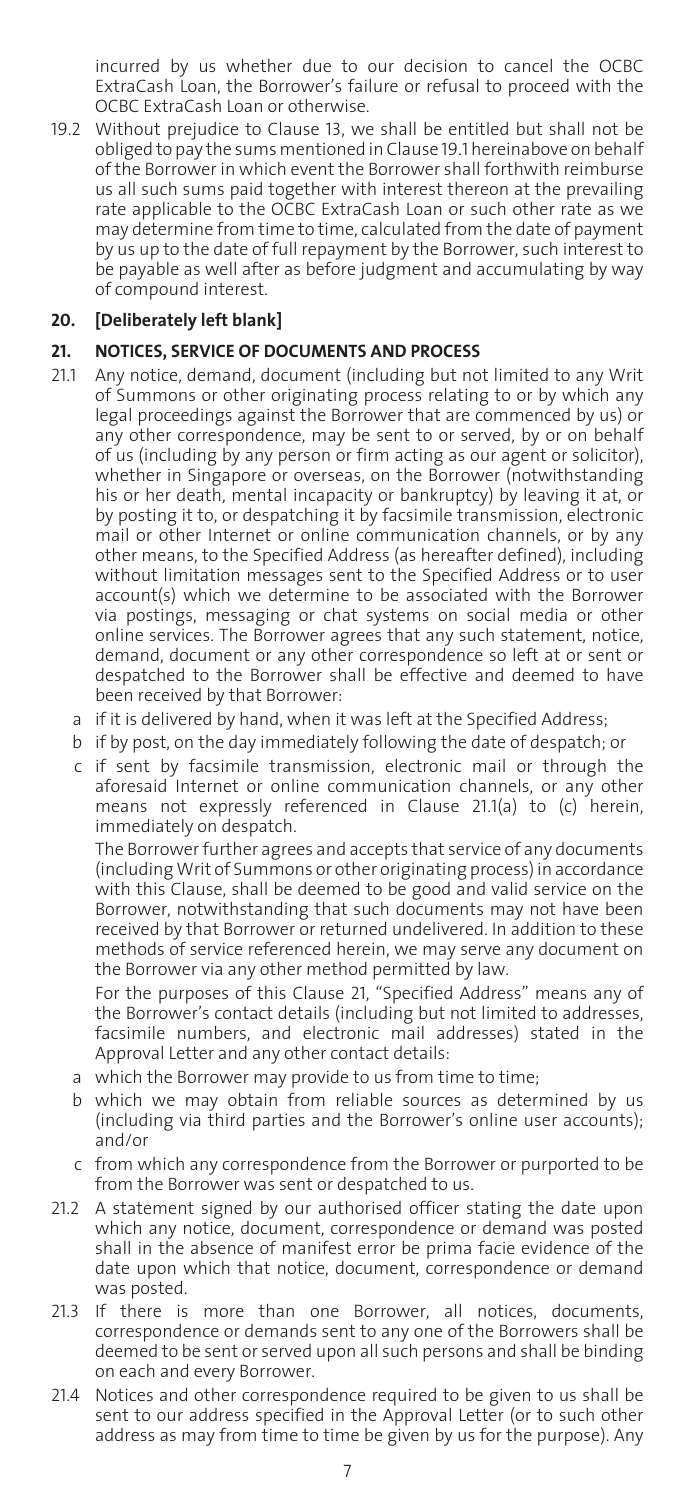incurred by us whether due to our decision to cancel the OCBC ExtraCash Loan, the Borrower's failure or refusal to proceed with the OCBC ExtraCash Loan or otherwise.

19.2 Without prejudice to Clause 13, we shall be entitled but shall not be obliged to pay the sums mentioned in Clause 19.1 hereinabove on behalf of the Borrower in which event the Borrower shall forthwith reimburse us all such sums paid together with interest thereon at the prevailing rate applicable to the OCBC ExtraCash Loan or such other rate as we may determine from time to time, calculated from the date of payment by us up to the date of full repayment by the Borrower, such interest to be payable as well after as before judgment and accumulating by way of compound interest.

# **20. [Deliberately left blank]**

## **21. NOTICES, SERVICE OF DOCUMENTS AND PROCESS**

- 21.1 Any notice, demand, document (including but not limited to any Writ of Summons or other originating process relating to or by which any legal proceedings against the Borrower that are commenced by us) or any other correspondence, may be sent to or served, by or on behalf of us (including by any person or firm acting as our agent or solicitor), whether in Singapore or overseas, on the Borrower (notwithstanding his or her death, mental incapacity or bankruptcy) by leaving it at, or by posting it to, or despatching it by facsimile transmission, electronic mail or other Internet or online communication channels, or by any other means, to the Specified Address (as hereafter defined), including without limitation messages sent to the Specified Address or to user account(s) which we determine to be associated with the Borrower via postings, messaging or chat systems on social media or other online services. The Borrower agrees that any such statement, notice, demand, document or any other correspondence so left at or sent or despatched to the Borrower shall be effective and deemed to have been received by that Borrower:
	- a if it is delivered by hand, when it was left at the Specified Address;
	- b if by post, on the day immediately following the date of despatch; or
	- c if sent by facsimile transmission, electronic mail or through the aforesaid Internet or online communication channels, or any other means not expressly referenced in Clause 21.1(a) to (c) herein, immediately on despatch.

 The Borrower further agrees and accepts that service of any documents (including Writ of Summons or other originating process) in accordance with this Clause, shall be deemed to be good and valid service on the Borrower, notwithstanding that such documents may not have been received by that Borrower or returned undelivered. In addition to these methods of service referenced herein, we may serve any document on the Borrower via any other method permitted by law.

 For the purposes of this Clause 21, "Specified Address" means any of the Borrower's contact details (including but not limited to addresses, facsimile numbers, and electronic mail addresses) stated in the Approval Letter and any other contact details:

- a which the Borrower may provide to us from time to time;
- b which we may obtain from reliable sources as determined by us (including via third parties and the Borrower's online user accounts); and/or
- c from which any correspondence from the Borrower or purported to be from the Borrower was sent or despatched to us.
- 21.2 A statement signed by our authorised officer stating the date upon which any notice, document, correspondence or demand was posted shall in the absence of manifest error be prima facie evidence of the date upon which that notice, document, correspondence or demand was posted.
- 21.3 If there is more than one Borrower, all notices, documents, correspondence or demands sent to any one of the Borrowers shall be deemed to be sent or served upon all such persons and shall be binding on each and every Borrower.
- 21.4 Notices and other correspondence required to be given to us shall be sent to our address specified in the Approval Letter (or to such other address as may from time to time be given by us for the purpose). Any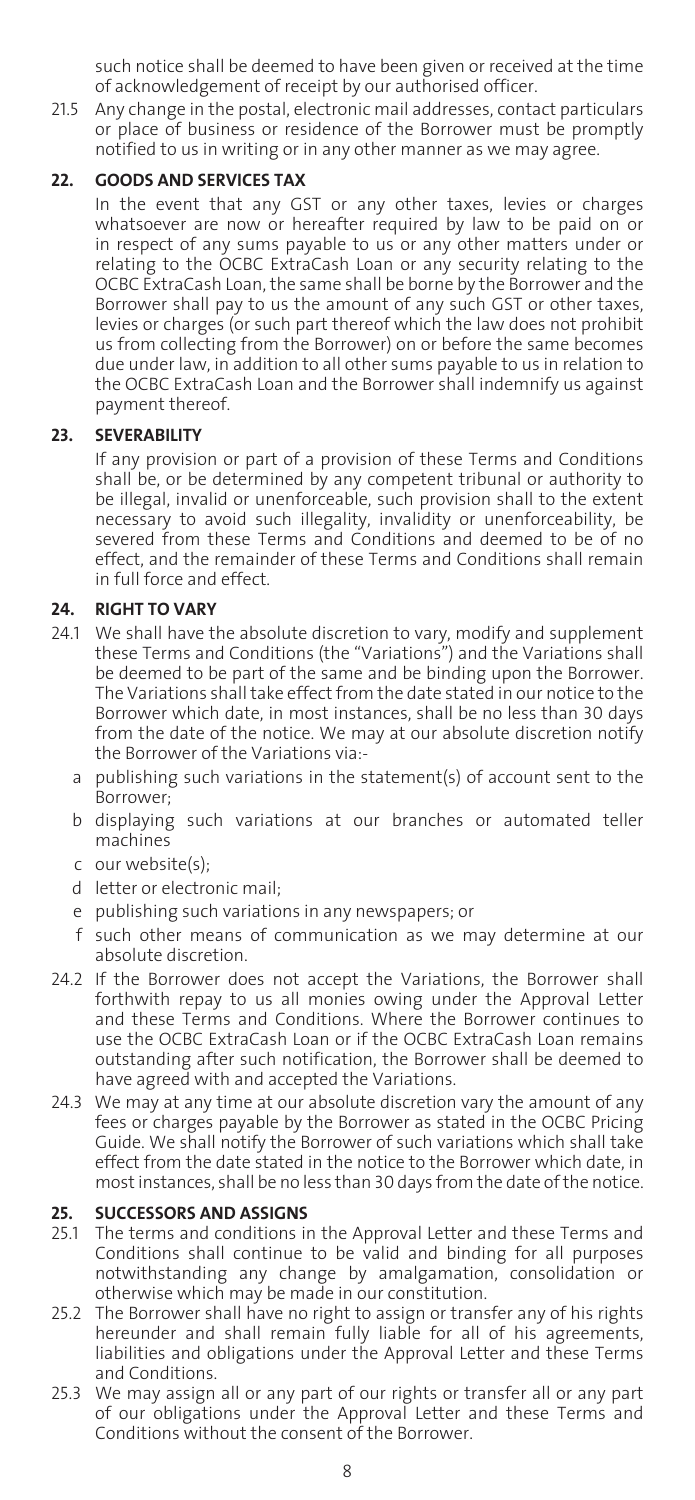such notice shall be deemed to have been given or received at the time of acknowledgement of receipt by our authorised officer.

21.5 Any change in the postal, electronic mail addresses, contact particulars or place of business or residence of the Borrower must be promptly notified to us in writing or in any other manner as we may agree.

# **22. GOODS AND SERVICES TAX**

 In the event that any GST or any other taxes, levies or charges whatsoever are now or hereafter required by law to be paid on or in respect of any sums payable to us or any other matters under or relating to the OCBC ExtraCash Loan or any security relating to the OCBC ExtraCash Loan, the same shall be borne by the Borrower and the Borrower shall pay to us the amount of any such GST or other taxes, levies or charges (or such part thereof which the law does not prohibit us from collecting from the Borrower) on or before the same becomes due under law, in addition to all other sums payable to us in relation to the OCBC ExtraCash Loan and the Borrower shall indemnify us against payment thereof.

# **23. SEVERABILITY**

 If any provision or part of a provision of these Terms and Conditions shall be, or be determined by any competent tribunal or authority to be illegal, invalid or unenforceable, such provision shall to the extent necessary to avoid such illegality, invalidity or unenforceability, be severed from these Terms and Conditions and deemed to be of no effect, and the remainder of these Terms and Conditions shall remain in full force and effect.

# **24. RIGHT TO VARY**

- 24.1 We shall have the absolute discretion to vary, modify and supplement these Terms and Conditions (the "Variations") and the Variations shall be deemed to be part of the same and be binding upon the Borrower. The Variations shall take effect from the date stated in our notice to the Borrower which date, in most instances, shall be no less than 30 days from the date of the notice. We may at our absolute discretion notify the Borrower of the Variations via:
	- a publishing such variations in the statement(s) of account sent to the Borrower;
	- b displaying such variations at our branches or automated teller machines
	- c our website(s);
	- d letter or electronic mail;
	- e publishing such variations in any newspapers; or
	- f such other means of communication as we may determine at our absolute discretion.
- 24.2 If the Borrower does not accept the Variations, the Borrower shall forthwith repay to us all monies owing under the Approval Letter and these Terms and Conditions. Where the Borrower continues to use the OCBC ExtraCash Loan or if the OCBC ExtraCash Loan remains outstanding after such notification, the Borrower shall be deemed to have agreed with and accepted the Variations.
- 24.3 We may at any time at our absolute discretion vary the amount of any fees or charges payable by the Borrower as stated in the OCBC Pricing Guide. We shall notify the Borrower of such variations which shall take effect from the date stated in the notice to the Borrower which date, in most instances, shall be no less than 30 days from the date of the notice.

#### **25. SUCCESSORS AND ASSIGNS**

- 25.1 The terms and conditions in the Approval Letter and these Terms and Conditions shall continue to be valid and binding for all purposes notwithstanding any change by amalgamation, consolidation or otherwise which may be made in our constitution.
- 25.2 The Borrower shall have no right to assign or transfer any of his rights hereunder and shall remain fully liable for all of his agreements, liabilities and obligations under the Approval Letter and these Terms and Conditions.
- 25.3 We may assign all or any part of our rights or transfer all or any part of our obligations under the Approval Letter and these Terms and Conditions without the consent of the Borrower.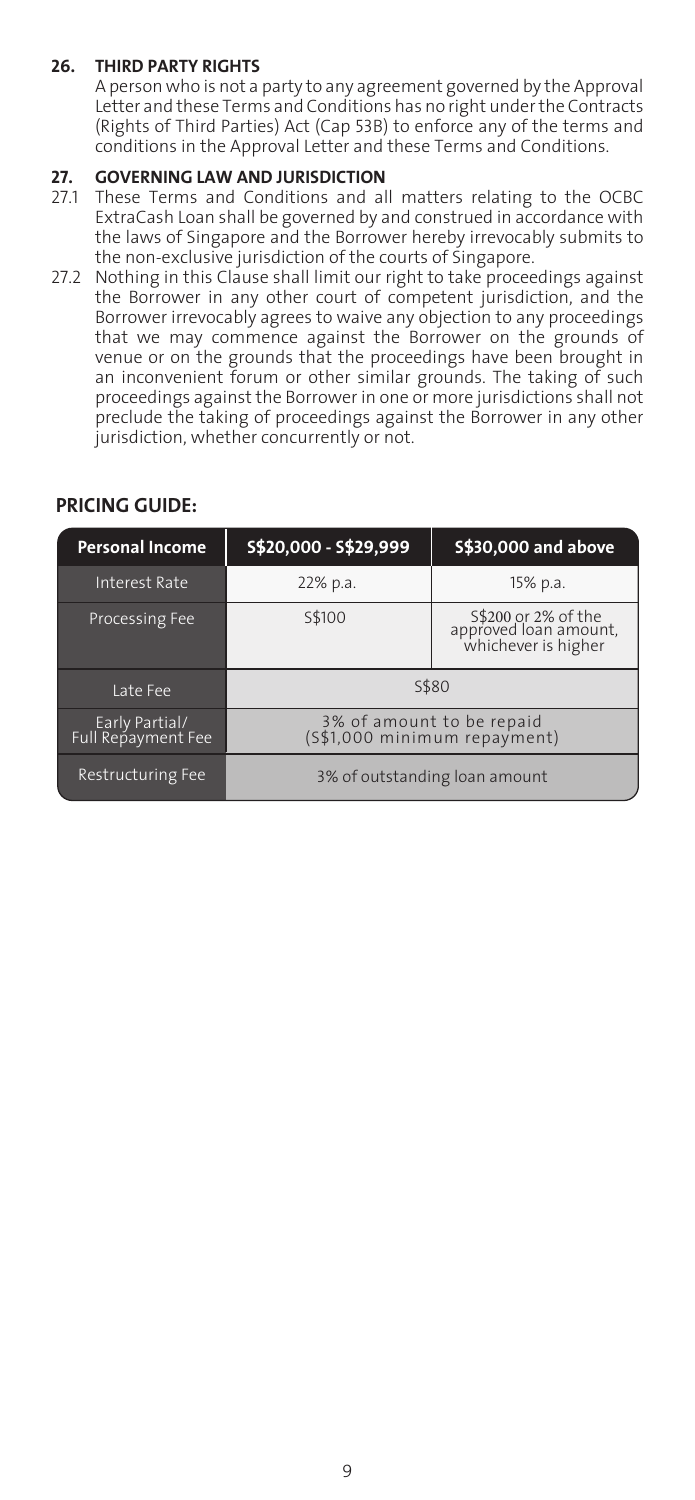# **26. THIRD PARTY RIGHTS**

 A person who is not a party to any agreement governed by the Approval Letter and these Terms and Conditions has no right under the Contracts (Rights of Third Parties) Act (Cap 53B) to enforce any of the terms and conditions in the Approval Letter and these Terms and Conditions.

# **27. GOVERNING LAW AND JURISDICTION**

- 27.1 These Terms and Conditions and all matters relating to the OCBC ExtraCash Loan shall be governed by and construed in accordance with the laws of Singapore and the Borrower hereby irrevocably submits to the non-exclusive jurisdiction of the courts of Singapore.
- 27.2 Nothing in this Clause shall limit our right to take proceedings against the Borrower in any other court of competent jurisdiction, and the Borrower irrevocably agrees to waive any objection to any proceedings that we may commence against the Borrower on the grounds of venue or on the grounds that the proceedings have been brought in an inconvenient forum or other similar grounds. The taking of such proceedings against the Borrower in one or more jurisdictions shall not preclude the taking of proceedings against the Borrower in any other jurisdiction, whether concurrently or not.

# **PRICING GUIDE:**

| <b>Personal Income</b>                | S\$20,000 - S\$29,999                                     | \$\$30,000 and above                                                |
|---------------------------------------|-----------------------------------------------------------|---------------------------------------------------------------------|
| <b>Interest Rate</b>                  | 22% p.a.                                                  | 15% p.a.                                                            |
| Processing Fee                        | S\$100                                                    | S\$200 or 2% of the<br>approved loan amount,<br>whichever is higher |
| Late Fee                              | S\$80                                                     |                                                                     |
| Early Partial /<br>Full Repayment Fee | 3% of amount to be repaid<br>(S\$1,000 minimum repayment) |                                                                     |
| <b>Restructuring Fee</b>              | 3% of outstanding loan amount                             |                                                                     |